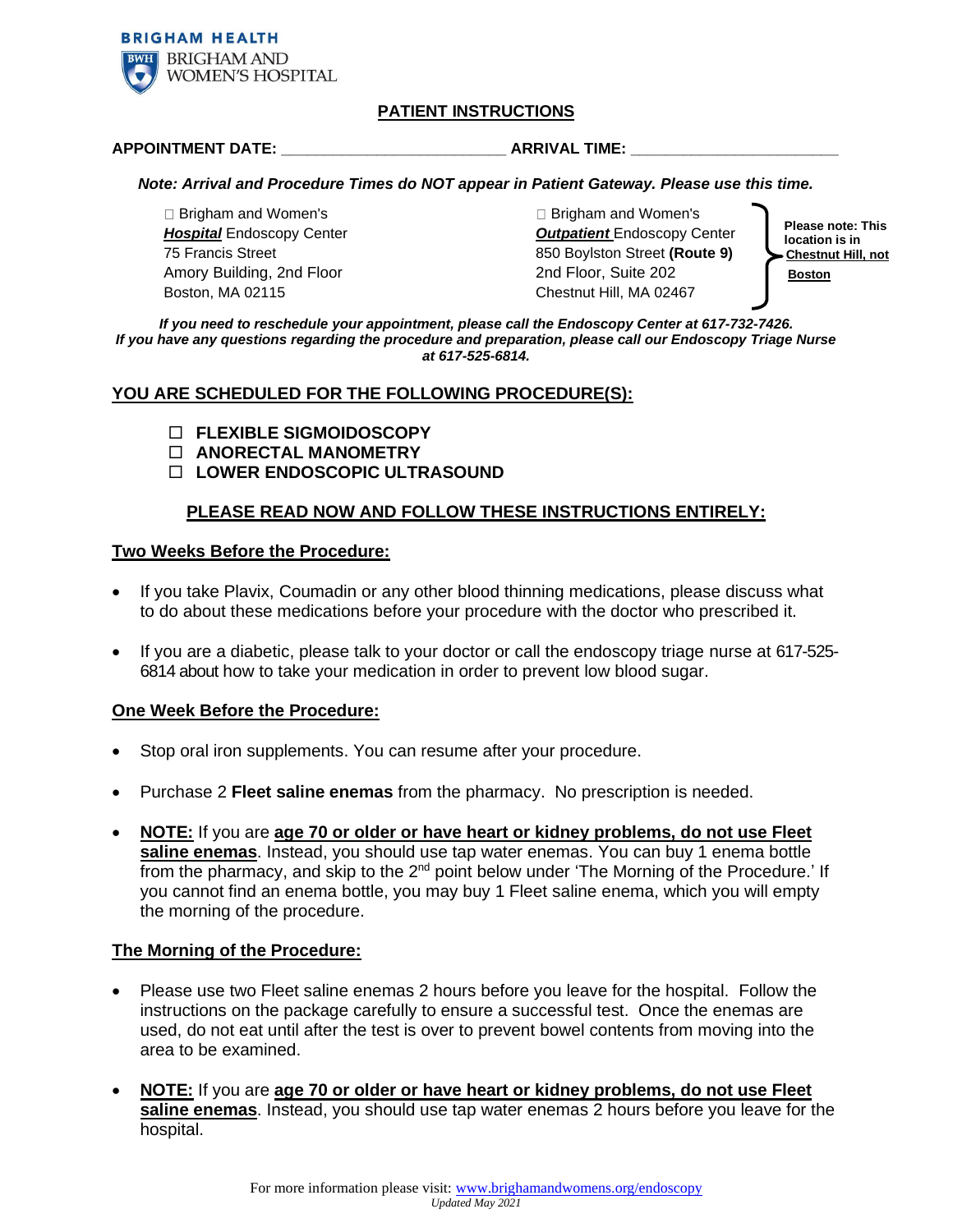

# **PATIENT INSTRUCTIONS**

#### **APPOINTMENT DATE: \_\_\_\_\_\_\_\_\_\_\_\_\_\_\_\_\_\_\_\_\_\_\_\_\_\_ ARRIVAL TIME: \_\_\_\_\_\_\_\_\_\_\_\_\_\_\_\_\_\_\_\_\_\_\_\_**

#### *Note: Arrival and Procedure Times do NOT appear in Patient Gateway. Please use this time.*

□ Brigham and Women's Brigham and Women's Boston, MA 02115 Chestnut Hill, MA 02467

*Hospital* Endoscopy Center *Outpatient* Endoscopy Center 75 Francis Street 850 Boylston Street **(Route 9)** Amory Building, 2nd Floor **Boston** 2nd Floor, Suite 202 **Boston** 

**Please note: This location is in Chestnut Hill, not**

*If you need to reschedule your appointment, please call the Endoscopy Center at 617-732-7426. If you have any questions regarding the procedure and preparation, please call our Endoscopy Triage Nurse at 617-525-6814.*

# **YOU ARE SCHEDULED FOR THE FOLLOWING PROCEDURE(S):**

- **FLEXIBLE SIGMOIDOSCOPY**
- **ANORECTAL MANOMETRY**
- **LOWER ENDOSCOPIC ULTRASOUND**

# **PLEASE READ NOW AND FOLLOW THESE INSTRUCTIONS ENTIRELY:**

# **Two Weeks Before the Procedure:**

- If you take Plavix, Coumadin or any other blood thinning medications, please discuss what to do about these medications before your procedure with the doctor who prescribed it.
- If you are a diabetic, please talk to your doctor or call the endoscopy triage nurse at 617-525- 6814 about how to take your medication in order to prevent low blood sugar.

# **One Week Before the Procedure:**

- Stop oral iron supplements. You can resume after your procedure.
- Purchase 2 **Fleet saline enemas** from the pharmacy. No prescription is needed.
- **NOTE:** If you are **age 70 or older or have heart or kidney problems, do not use Fleet saline enemas**. Instead, you should use tap water enemas. You can buy 1 enema bottle from the pharmacy, and skip to the  $2^{nd}$  point below under 'The Morning of the Procedure.' If you cannot find an enema bottle, you may buy 1 Fleet saline enema, which you will empty the morning of the procedure.

# **The Morning of the Procedure:**

- Please use two Fleet saline enemas 2 hours before you leave for the hospital. Follow the instructions on the package carefully to ensure a successful test. Once the enemas are used, do not eat until after the test is over to prevent bowel contents from moving into the area to be examined.
- **NOTE:** If you are **age 70 or older or have heart or kidney problems, do not use Fleet saline enemas**. Instead, you should use tap water enemas 2 hours before you leave for the hospital.